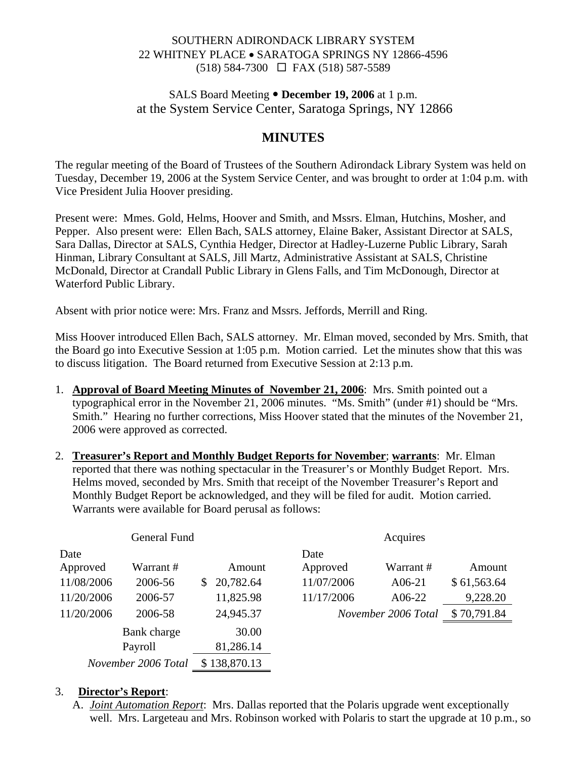### SOUTHERN ADIRONDACK LIBRARY SYSTEM 22 WHITNEY PLACE • SARATOGA SPRINGS NY 12866-4596 (518) 584-7300 FAX (518) 587-5589

## SALS Board Meeting  $\bullet$  December 19, 2006 at 1 p.m. at the System Service Center, Saratoga Springs, NY 12866

# **MINUTES**

The regular meeting of the Board of Trustees of the Southern Adirondack Library System was held on Tuesday, December 19, 2006 at the System Service Center, and was brought to order at 1:04 p.m. with Vice President Julia Hoover presiding.

Present were: Mmes. Gold, Helms, Hoover and Smith, and Mssrs. Elman, Hutchins, Mosher, and Pepper. Also present were: Ellen Bach, SALS attorney, Elaine Baker, Assistant Director at SALS, Sara Dallas, Director at SALS, Cynthia Hedger, Director at Hadley-Luzerne Public Library, Sarah Hinman, Library Consultant at SALS, Jill Martz, Administrative Assistant at SALS, Christine McDonald, Director at Crandall Public Library in Glens Falls, and Tim McDonough, Director at Waterford Public Library.

Absent with prior notice were: Mrs. Franz and Mssrs. Jeffords, Merrill and Ring.

Miss Hoover introduced Ellen Bach, SALS attorney. Mr. Elman moved, seconded by Mrs. Smith, that the Board go into Executive Session at 1:05 p.m. Motion carried. Let the minutes show that this was to discuss litigation. The Board returned from Executive Session at 2:13 p.m.

- 1. **Approval of Board Meeting Minutes of November 21, 2006**: Mrs. Smith pointed out a typographical error in the November 21, 2006 minutes. "Ms. Smith" (under #1) should be "Mrs. Smith." Hearing no further corrections, Miss Hoover stated that the minutes of the November 21, 2006 were approved as corrected.
- 2. **Treasurer's Report and Monthly Budget Reports for November**; **warrants**: Mr. Elman reported that there was nothing spectacular in the Treasurer's or Monthly Budget Report. Mrs. Helms moved, seconded by Mrs. Smith that receipt of the November Treasurer's Report and Monthly Budget Report be acknowledged, and they will be filed for audit. Motion carried. Warrants were available for Board perusal as follows:

| General Fund        |             |                |              | Acquires   |                     |             |
|---------------------|-------------|----------------|--------------|------------|---------------------|-------------|
| Date                |             |                |              | Date       |                     |             |
| Approved            | Warrant #   |                | Amount       | Approved   | Warrant#            | Amount      |
| 11/08/2006          | 2006-56     | $\mathbb{S}^-$ | 20,782.64    | 11/07/2006 | $A06-21$            | \$61,563.64 |
| 11/20/2006          | 2006-57     |                | 11,825.98    | 11/17/2006 | A06-22              | 9,228.20    |
| 11/20/2006          | 2006-58     |                | 24,945.37    |            | November 2006 Total | \$70,791.84 |
|                     | Bank charge |                | 30.00        |            |                     |             |
| Payroll             |             |                | 81,286.14    |            |                     |             |
| November 2006 Total |             |                | \$138,870.13 |            |                     |             |

#### 3. **Director's Report**:

A. *Joint Automation Report*: Mrs. Dallas reported that the Polaris upgrade went exceptionally well. Mrs. Largeteau and Mrs. Robinson worked with Polaris to start the upgrade at 10 p.m., so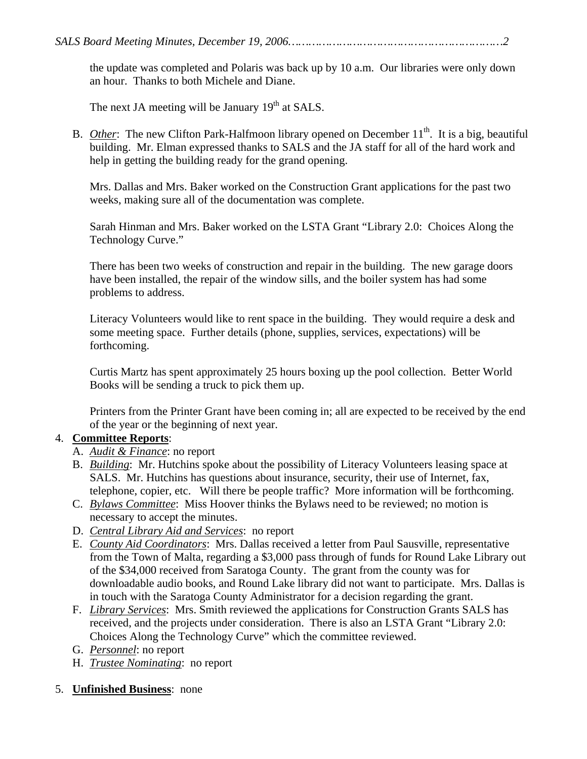the update was completed and Polaris was back up by 10 a.m. Our libraries were only down an hour. Thanks to both Michele and Diane.

The next JA meeting will be January  $19<sup>th</sup>$  at SALS.

B. *Other*: The new Clifton Park-Halfmoon library opened on December 11<sup>th</sup>. It is a big, beautiful building. Mr. Elman expressed thanks to SALS and the JA staff for all of the hard work and help in getting the building ready for the grand opening.

Mrs. Dallas and Mrs. Baker worked on the Construction Grant applications for the past two weeks, making sure all of the documentation was complete.

Sarah Hinman and Mrs. Baker worked on the LSTA Grant "Library 2.0: Choices Along the Technology Curve."

There has been two weeks of construction and repair in the building. The new garage doors have been installed, the repair of the window sills, and the boiler system has had some problems to address.

Literacy Volunteers would like to rent space in the building. They would require a desk and some meeting space. Further details (phone, supplies, services, expectations) will be forthcoming.

Curtis Martz has spent approximately 25 hours boxing up the pool collection. Better World Books will be sending a truck to pick them up.

Printers from the Printer Grant have been coming in; all are expected to be received by the end of the year or the beginning of next year.

## 4. **Committee Reports**:

- A. *Audit & Finance*: no report
- B. *Building*: Mr. Hutchins spoke about the possibility of Literacy Volunteers leasing space at SALS. Mr. Hutchins has questions about insurance, security, their use of Internet, fax, telephone, copier, etc. Will there be people traffic? More information will be forthcoming.
- C. *Bylaws Committee*: Miss Hoover thinks the Bylaws need to be reviewed; no motion is necessary to accept the minutes.
- D. *Central Library Aid and Services*: no report
- E. *County Aid Coordinators*: Mrs. Dallas received a letter from Paul Sausville, representative from the Town of Malta, regarding a \$3,000 pass through of funds for Round Lake Library out of the \$34,000 received from Saratoga County. The grant from the county was for downloadable audio books, and Round Lake library did not want to participate. Mrs. Dallas is in touch with the Saratoga County Administrator for a decision regarding the grant.
- F. *Library Services*: Mrs. Smith reviewed the applications for Construction Grants SALS has received, and the projects under consideration. There is also an LSTA Grant "Library 2.0: Choices Along the Technology Curve" which the committee reviewed.
- G. *Personnel*: no report
- H. *Trustee Nominating*: no report
- 5. **Unfinished Business**: none